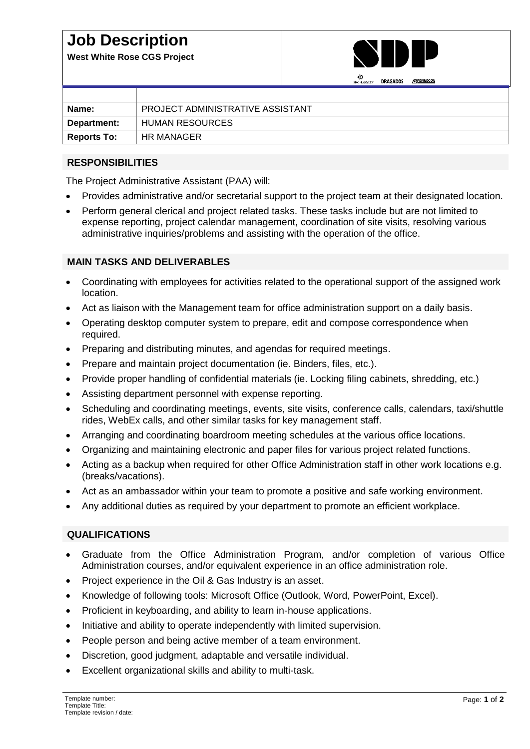## **Job Description**

**West White Rose CGS Project**



|                    |                                  |  | <br><b>SNC-LAVALLY</b> | <b>DRAGADOS</b> | <b>AN PENNECON</b> |
|--------------------|----------------------------------|--|------------------------|-----------------|--------------------|
|                    |                                  |  |                        |                 |                    |
| Name:              | PROJECT ADMINISTRATIVE ASSISTANT |  |                        |                 |                    |
| Department:        | HUMAN RESOURCES                  |  |                        |                 |                    |
| <b>Reports To:</b> | HR MANAGER                       |  |                        |                 |                    |

## **RESPONSIBILITIES**

The Project Administrative Assistant (PAA) will:

- Provides administrative and/or secretarial support to the project team at their designated location.
- Perform general clerical and project related tasks. These tasks include but are not limited to expense reporting, project calendar management, coordination of site visits, resolving various administrative inquiries/problems and assisting with the operation of the office.

## **MAIN TASKS AND DELIVERABLES**

- Coordinating with employees for activities related to the operational support of the assigned work location.
- Act as liaison with the Management team for office administration support on a daily basis.
- Operating desktop computer system to prepare, edit and compose correspondence when required.
- Preparing and distributing minutes, and agendas for required meetings.
- Prepare and maintain project documentation (ie. Binders, files, etc.).
- Provide proper handling of confidential materials (ie. Locking filing cabinets, shredding, etc.)
- Assisting department personnel with expense reporting.
- Scheduling and coordinating meetings, events, site visits, conference calls, calendars, taxi/shuttle rides, WebEx calls, and other similar tasks for key management staff.
- Arranging and coordinating boardroom meeting schedules at the various office locations.
- Organizing and maintaining electronic and paper files for various project related functions.
- Acting as a backup when required for other Office Administration staff in other work locations e.g. (breaks/vacations).
- Act as an ambassador within your team to promote a positive and safe working environment.
- Any additional duties as required by your department to promote an efficient workplace.

## **QUALIFICATIONS**

- Graduate from the Office Administration Program, and/or completion of various Office Administration courses, and/or equivalent experience in an office administration role.
- Project experience in the Oil & Gas Industry is an asset.
- Knowledge of following tools: Microsoft Office (Outlook, Word, PowerPoint, Excel).
- Proficient in keyboarding, and ability to learn in-house applications.
- Initiative and ability to operate independently with limited supervision.
- People person and being active member of a team environment.
- Discretion, good judgment, adaptable and versatile individual.
- Excellent organizational skills and ability to multi-task.